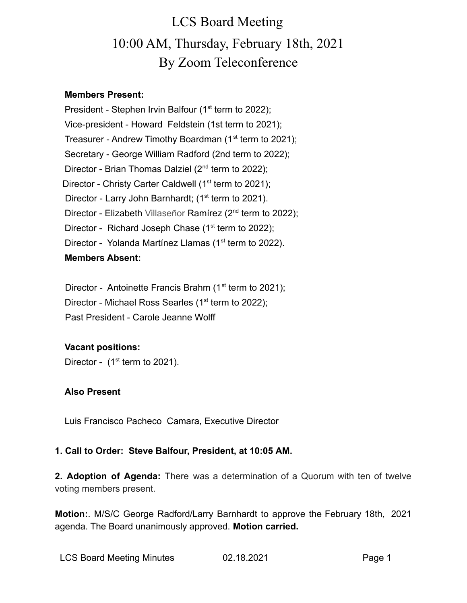### **Members Present:**

President - Stephen Irvin Balfour  $(1<sup>st</sup>$  term to 2022); Vice-president - Howard Feldstein (1st term to 2021); Treasurer - Andrew Timothy Boardman  $(1<sup>st</sup>$  term to 2021); Secretary - George William Radford (2nd term to 2022); Director - Brian Thomas Dalziel (2<sup>nd</sup> term to 2022); Director - Christy Carter Caldwell ( $1<sup>st</sup>$  term to 2021); Director - Larry John Barnhardt; (1<sup>st</sup> term to 2021). Director - Elizabeth Villaseñor Ramírez (2<sup>nd</sup> term to 2022); Director - Richard Joseph Chase  $(1<sup>st</sup>$  term to 2022); Director - Yolanda Martínez Llamas (1<sup>st</sup> term to 2022). **Members Absent:**

Director - Antoinette Francis Brahm  $(1<sup>st</sup>$  term to 2021); Director - Michael Ross Searles (1<sup>st</sup> term to 2022); Past President - Carole Jeanne Wolff

### **Vacant positions:**

Director -  $(1<sup>st</sup>$  term to 2021).

#### **Also Present**

Luis Francisco Pacheco Camara, Executive Director

#### **1. Call to Order: Steve Balfour, President, at 10:05 AM.**

**2. Adoption of Agenda:** There was a determination of a Quorum with ten of twelve voting members present.

**Motion:**. M/S/C George Radford/Larry Barnhardt to approve the February 18th, 2021 agenda. The Board unanimously approved. **Motion carried.**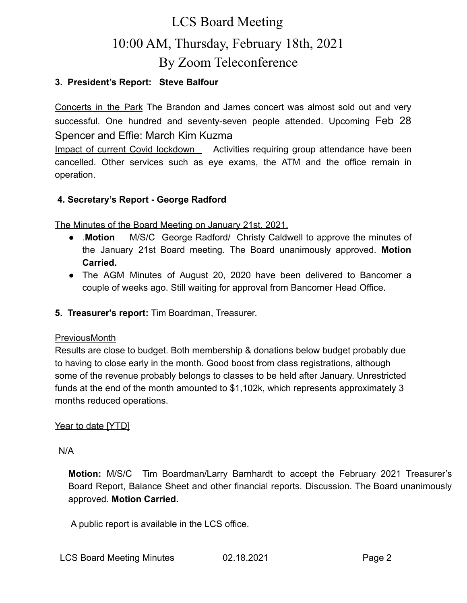### **3. President's Report: Steve Balfour**

Concerts in the Park The Brandon and James concert was almost sold out and very successful. One hundred and seventy-seven people attended. Upcoming Feb 28 Spencer and Effie: March Kim Kuzma

Impact of current Covid lockdown Activities requiring group attendance have been cancelled. Other services such as eye exams, the ATM and the office remain in operation.

### **4. Secretary's Report - George Radford**

The Minutes of the Board Meeting on January 21st, 2021.

- .**Motion** M/S/C George Radford/ Christy Caldwell to approve the minutes of the January 21st Board meeting. The Board unanimously approved. **Motion Carried.**
- **●** The AGM Minutes of August 20, 2020 have been delivered to Bancomer a couple of weeks ago. Still waiting for approval from Bancomer Head Office.
- **5. Treasurer's report:** Tim Boardman, Treasurer.

#### PreviousMonth

Results are close to budget. Both membership & donations below budget probably due to having to close early in the month. Good boost from class registrations, although some of the revenue probably belongs to classes to be held after January. Unrestricted funds at the end of the month amounted to \$1,102k, which represents approximately 3 months reduced operations.

#### Year to date [YTD]

N/A

**Motion:** M/S/C Tim Boardman/Larry Barnhardt to accept the February 2021 Treasurer's Board Report, Balance Sheet and other financial reports. Discussion. The Board unanimously approved. **Motion Carried.**

A public report is available in the LCS office.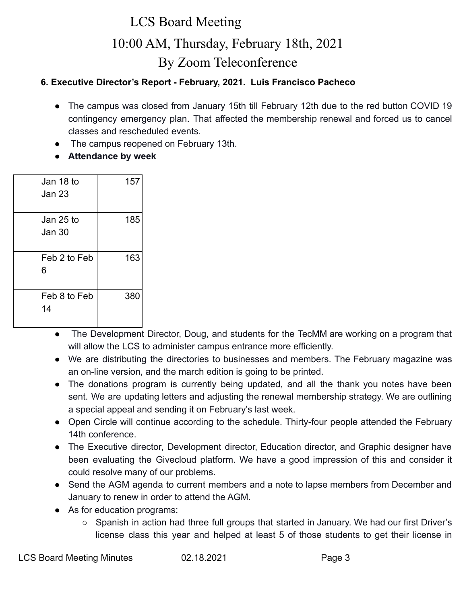### **6. Executive Director's Report - February, 2021. Luis Francisco Pacheco**

- The campus was closed from January 15th till February 12th due to the red button COVID 19 contingency emergency plan. That affected the membership renewal and forced us to cancel classes and rescheduled events.
- The campus reopened on February 13th.
- **Attendance by week**

| Jan 18 to<br><b>Jan 23</b> | 157 |
|----------------------------|-----|
| Jan 25 to<br>Jan 30        | 185 |
| Feb 2 to Feb<br>6          | 163 |
| Feb 8 to Feb<br>14         | 380 |

- The Development Director, Doug, and students for the TecMM are working on a program that will allow the LCS to administer campus entrance more efficiently.
- We are distributing the directories to businesses and members. The February magazine was an on-line version, and the march edition is going to be printed.
- The donations program is currently being updated, and all the thank you notes have been sent. We are updating letters and adjusting the renewal membership strategy. We are outlining a special appeal and sending it on February's last week.
- Open Circle will continue according to the schedule. Thirty-four people attended the February 14th conference.
- The Executive director, Development director, Education director, and Graphic designer have been evaluating the Givecloud platform. We have a good impression of this and consider it could resolve many of our problems.
- Send the AGM agenda to current members and a note to lapse members from December and January to renew in order to attend the AGM.
- As for education programs:
	- Spanish in action had three full groups that started in January. We had our first Driver's license class this year and helped at least 5 of those students to get their license in

LCS Board Meeting Minutes **02.18.2021** Page 3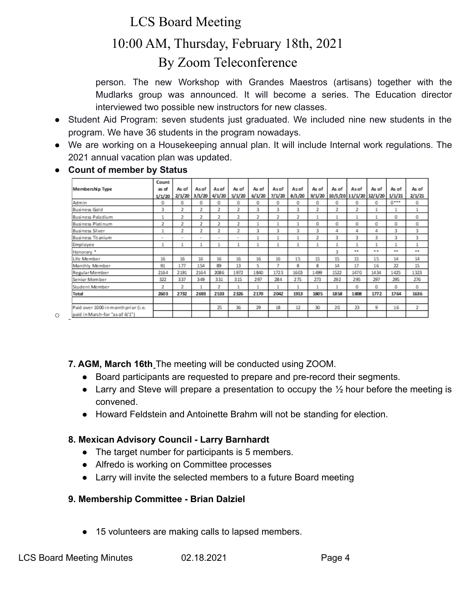# LCS Board Meeting

# 10:00 AM, Thursday, February 18th, 2021 By Zoom Teleconference

person. The new Workshop with Grandes Maestros (artisans) together with the Mudlarks group was announced. It will become a series. The Education director interviewed two possible new instructors for new classes.

- Student Aid Program: seven students just graduated. We included nine new students in the program. We have 36 students in the program nowadays.
- We are working on a Housekeeping annual plan. It will include Internal work regulations. The 2021 annual vacation plan was updated.

### ● **Count of member by Status**

| Membership Type                     | Count<br>as of | As of<br>2/1/20 | As of<br>$3/1/20$ 4/1/20 | As of          | As of<br>5/1/20 | As of<br>6/1/20 | As of<br>7/1/20 | As of<br>8/1/20 | As of<br>9/1/20 | As of | As of<br>10/1/20 11/1/20 12/1/20 | As of | As of<br>1/1/21 | As of<br>2/1/21 |
|-------------------------------------|----------------|-----------------|--------------------------|----------------|-----------------|-----------------|-----------------|-----------------|-----------------|-------|----------------------------------|-------|-----------------|-----------------|
| Admin                               | 1/1/20<br>0    | 0               | 0                        | 0              | 0               | 0               | 0               | 0               | 0               | 0     | 0                                | 0     | $0***$          | 0               |
| <b>Business Gold</b>                | 3              | 2               | 2                        | 2              | 2               | 3               | 3               | 3               | $\overline{2}$  | 2     | 2                                |       |                 |                 |
| Business Paladium                   | 1              | 2               | 2                        | 2              | 2               | 2               | 2               | 2               |                 |       |                                  |       | 0               | 0               |
| Business Platinum                   | 2              | $\overline{2}$  | 2                        | $\overline{2}$ | $\overline{2}$  |                 |                 |                 | O               | 0     | 0                                | 0     | 0               | 0               |
| Business Silver                     |                | 2               | 2                        | ı,             | 2               | 3               | 3               | 3               | 3               | 4     | 4                                | 4     | 3               | 3               |
| Business Titanium                   | $\sim$         | $\sim$          | $\sim$                   | $\sim$         | $\sim$          | 1               |                 | ٠               | $\overline{2}$  | 3     | 3                                | 3     | 3               | 3               |
| Employee                            | 1              |                 |                          |                |                 |                 |                 |                 |                 |       | 1                                |       | 1               | 1               |
| Honorary <sup>*</sup>               |                |                 |                          |                |                 |                 |                 |                 |                 | 3     | $\cdots$                         | **    | $\cdots$        | $\cdots$        |
| Life Member                         | 16             | 16              | 16                       | 16             | 16              | 16              | 16              | 15              | 15              | 15    | 15                               | 15    | 14              | 14              |
| Monthly Member                      | 91             | 177             | 154                      | 89             | 13              | 5               | 7               | 8               | 8               | 14    | 17                               | 16    | 22              | 15              |
| Regular Member                      | 2164           | 2191            | 2164                     | 2086           | 1972            | 1840            | 1723            | 1603            | 1499            | 1522  | 1470                             | 1434  | 1425            | 1323            |
| Senior Member                       | 322            | 337             | 349                      | 331            | 315             | 297             | 284             | 275             | 273             | 292   | 295                              | 297   | 295             | 276             |
| Student Member                      | 2              | 2               | 1                        | 2              |                 |                 |                 | 1               |                 |       | 0                                | 0     | 0               | 0               |
| Total                               | 2603           | 2732            | 2693                     | 2533           | 2326            | 2170            | 2042            | 1913            | 1805            | 1858  | 1808                             | 1772  | 1764            | 1636            |
|                                     |                |                 |                          |                |                 |                 |                 |                 |                 |       |                                  |       |                 |                 |
| Paid over 1000 in month prior (i.e. |                |                 |                          | 25             | 36              | 29              | 18              | 12              | 30              | 20    | 23                               | 9     | 16              | 2               |
| paid in March-for "as of 4/1")      |                |                 |                          |                |                 |                 |                 |                 |                 |       |                                  |       |                 |                 |

 $\circ$ 

**7. AGM, March 16th** The meeting will be conducted using ZOOM.

- Board participants are requested to prepare and pre-record their segments.
- Larry and Steve will prepare a presentation to occupy the  $\frac{1}{2}$  hour before the meeting is convened.
- Howard Feldstein and Antoinette Brahm will not be standing for election.

## **8. Mexican Advisory Council - Larry Barnhardt**

- The target number for participants is 5 members.
- Alfredo is working on Committee processes
- Larry will invite the selected members to a future Board meeting

## **9. Membership Committee - Brian Dalziel**

● 15 volunteers are making calls to lapsed members.